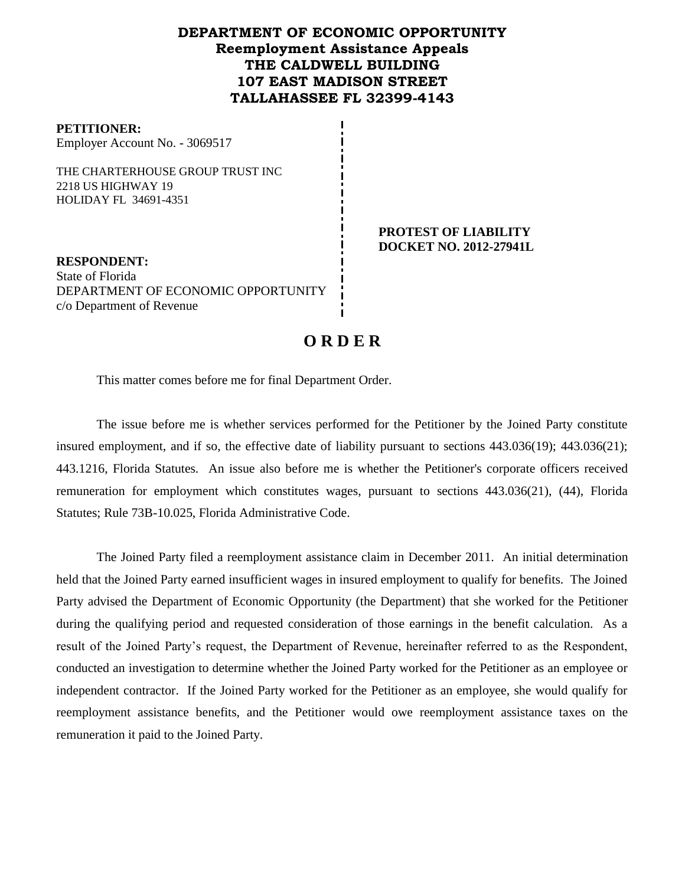### **DEPARTMENT OF ECONOMIC OPPORTUNITY Reemployment Assistance Appeals THE CALDWELL BUILDING 107 EAST MADISON STREET TALLAHASSEE FL 32399-4143**

#### **PETITIONER:**

Employer Account No. - 3069517

THE CHARTERHOUSE GROUP TRUST INC 2218 US HIGHWAY 19 HOLIDAY FL 34691-4351

> **PROTEST OF LIABILITY DOCKET NO. 2012-27941L**

**RESPONDENT:** State of Florida DEPARTMENT OF ECONOMIC OPPORTUNITY c/o Department of Revenue

## **O R D E R**

This matter comes before me for final Department Order.

The issue before me is whether services performed for the Petitioner by the Joined Party constitute insured employment, and if so, the effective date of liability pursuant to sections 443.036(19); 443.036(21); 443.1216, Florida Statutes. An issue also before me is whether the Petitioner's corporate officers received remuneration for employment which constitutes wages, pursuant to sections 443.036(21), (44), Florida Statutes; Rule 73B-10.025, Florida Administrative Code.

The Joined Party filed a reemployment assistance claim in December 2011.An initial determination held that the Joined Party earned insufficient wages in insured employment to qualify for benefits. The Joined Party advised the Department of Economic Opportunity (the Department) that she worked for the Petitioner during the qualifying period and requested consideration of those earnings in the benefit calculation. As a result of the Joined Party's request, the Department of Revenue, hereinafter referred to as the Respondent, conducted an investigation to determine whether the Joined Party worked for the Petitioner as an employee or independent contractor. If the Joined Party worked for the Petitioner as an employee, she would qualify for reemployment assistance benefits, and the Petitioner would owe reemployment assistance taxes on the remuneration it paid to the Joined Party.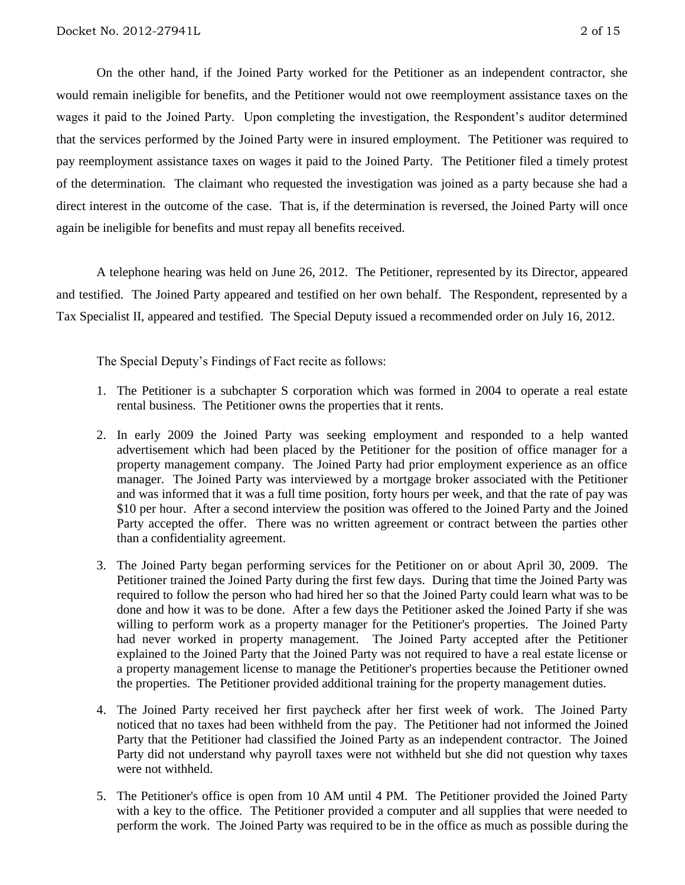On the other hand, if the Joined Party worked for the Petitioner as an independent contractor, she would remain ineligible for benefits, and the Petitioner would not owe reemployment assistance taxes on the wages it paid to the Joined Party. Upon completing the investigation, the Respondent's auditor determined that the services performed by the Joined Party were in insured employment. The Petitioner was required to pay reemployment assistance taxes on wages it paid to the Joined Party.The Petitioner filed a timely protest of the determination.The claimant who requested the investigation was joined as a party because she had a direct interest in the outcome of the case. That is, if the determination is reversed, the Joined Party will once again be ineligible for benefits and must repay all benefits received.

A telephone hearing was held on June 26, 2012.The Petitioner, represented by its Director, appeared and testified. The Joined Party appeared and testified on her own behalf. The Respondent, represented by a Tax Specialist II, appeared and testified. The Special Deputy issued a recommended order on July 16, 2012.

The Special Deputy's Findings of Fact recite as follows:

- 1. The Petitioner is a subchapter S corporation which was formed in 2004 to operate a real estate rental business. The Petitioner owns the properties that it rents.
- 2. In early 2009 the Joined Party was seeking employment and responded to a help wanted advertisement which had been placed by the Petitioner for the position of office manager for a property management company. The Joined Party had prior employment experience as an office manager. The Joined Party was interviewed by a mortgage broker associated with the Petitioner and was informed that it was a full time position, forty hours per week, and that the rate of pay was \$10 per hour. After a second interview the position was offered to the Joined Party and the Joined Party accepted the offer. There was no written agreement or contract between the parties other than a confidentiality agreement.
- 3. The Joined Party began performing services for the Petitioner on or about April 30, 2009. The Petitioner trained the Joined Party during the first few days. During that time the Joined Party was required to follow the person who had hired her so that the Joined Party could learn what was to be done and how it was to be done. After a few days the Petitioner asked the Joined Party if she was willing to perform work as a property manager for the Petitioner's properties. The Joined Party had never worked in property management. The Joined Party accepted after the Petitioner explained to the Joined Party that the Joined Party was not required to have a real estate license or a property management license to manage the Petitioner's properties because the Petitioner owned the properties. The Petitioner provided additional training for the property management duties.
- 4. The Joined Party received her first paycheck after her first week of work. The Joined Party noticed that no taxes had been withheld from the pay. The Petitioner had not informed the Joined Party that the Petitioner had classified the Joined Party as an independent contractor. The Joined Party did not understand why payroll taxes were not withheld but she did not question why taxes were not withheld.
- 5. The Petitioner's office is open from 10 AM until 4 PM. The Petitioner provided the Joined Party with a key to the office. The Petitioner provided a computer and all supplies that were needed to perform the work. The Joined Party was required to be in the office as much as possible during the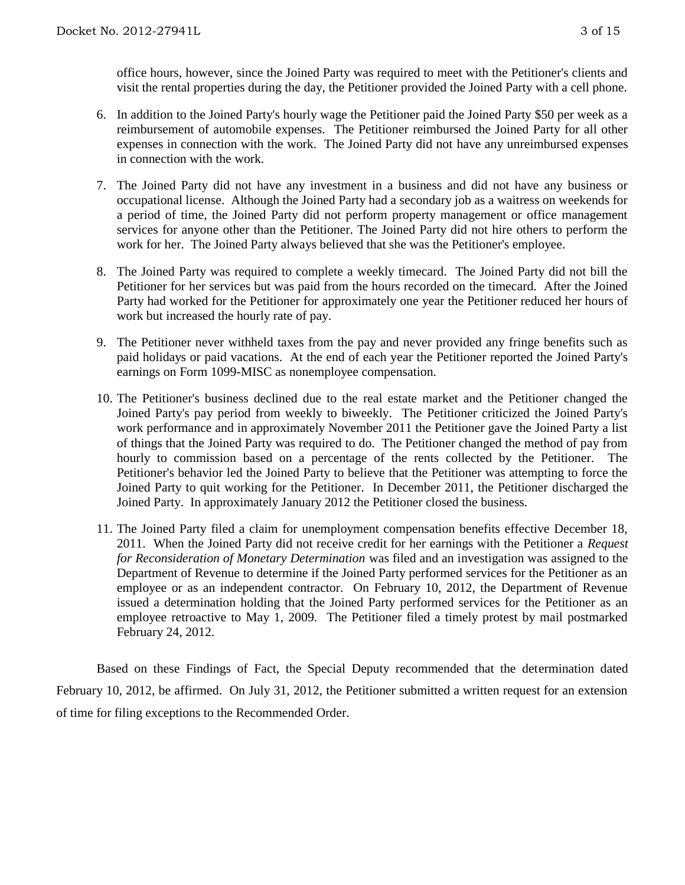office hours, however, since the Joined Party was required to meet with the Petitioner's clients and visit the rental properties during the day, the Petitioner provided the Joined Party with a cell phone.

- 6. In addition to the Joined Party's hourly wage the Petitioner paid the Joined Party \$50 per week as a reimbursement of automobile expenses. The Petitioner reimbursed the Joined Party for all other expenses in connection with the work. The Joined Party did not have any unreimbursed expenses in connection with the work.
- 7. The Joined Party did not have any investment in a business and did not have any business or occupational license. Although the Joined Party had a secondary job as a waitress on weekends for a period of time, the Joined Party did not perform property management or office management services for anyone other than the Petitioner. The Joined Party did not hire others to perform the work for her. The Joined Party always believed that she was the Petitioner's employee.
- 8. The Joined Party was required to complete a weekly timecard. The Joined Party did not bill the Petitioner for her services but was paid from the hours recorded on the timecard. After the Joined Party had worked for the Petitioner for approximately one year the Petitioner reduced her hours of work but increased the hourly rate of pay.
- 9. The Petitioner never withheld taxes from the pay and never provided any fringe benefits such as paid holidays or paid vacations. At the end of each year the Petitioner reported the Joined Party's earnings on Form 1099-MISC as nonemployee compensation.
- 10. The Petitioner's business declined due to the real estate market and the Petitioner changed the Joined Party's pay period from weekly to biweekly. The Petitioner criticized the Joined Party's work performance and in approximately November 2011 the Petitioner gave the Joined Party a list of things that the Joined Party was required to do. The Petitioner changed the method of pay from hourly to commission based on a percentage of the rents collected by the Petitioner. The Petitioner's behavior led the Joined Party to believe that the Petitioner was attempting to force the Joined Party to quit working for the Petitioner. In December 2011, the Petitioner discharged the Joined Party. In approximately January 2012 the Petitioner closed the business.
- 11. The Joined Party filed a claim for unemployment compensation benefits effective December 18, 2011. When the Joined Party did not receive credit for her earnings with the Petitioner a *Request for Reconsideration of Monetary Determination* was filed and an investigation was assigned to the Department of Revenue to determine if the Joined Party performed services for the Petitioner as an employee or as an independent contractor. On February 10, 2012, the Department of Revenue issued a determination holding that the Joined Party performed services for the Petitioner as an employee retroactive to May 1, 2009. The Petitioner filed a timely protest by mail postmarked February 24, 2012.

Based on these Findings of Fact, the Special Deputy recommended that the determination dated February 10, 2012, be affirmed. On July 31, 2012, the Petitioner submitted a written request for an extension of time for filing exceptions to the Recommended Order.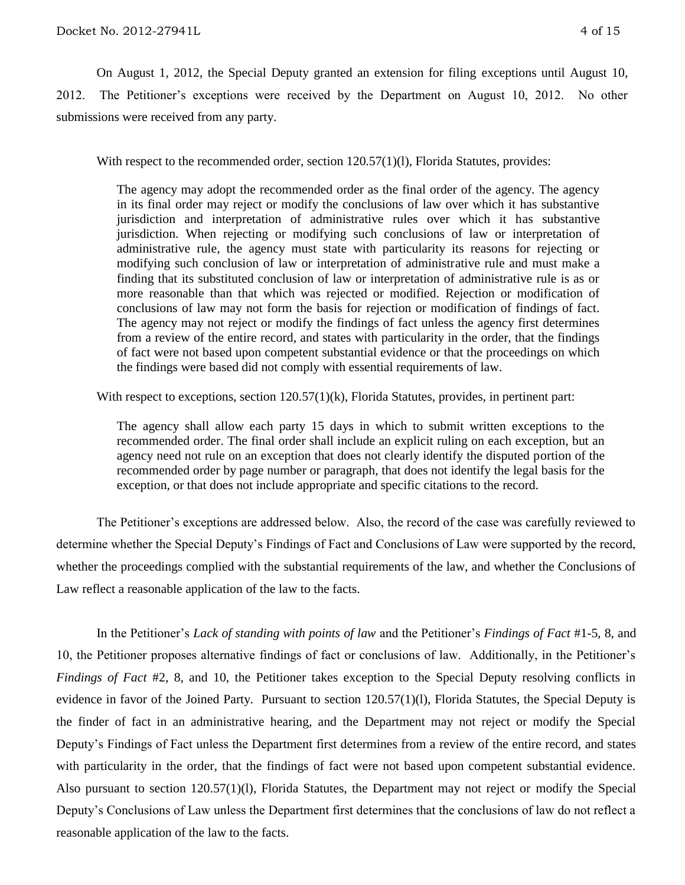On August 1, 2012, the Special Deputy granted an extension for filing exceptions until August 10, 2012. The Petitioner's exceptions were received by the Department on August 10, 2012. No other submissions were received from any party.

With respect to the recommended order, section 120.57(1)(1), Florida Statutes, provides:

The agency may adopt the recommended order as the final order of the agency. The agency in its final order may reject or modify the conclusions of law over which it has substantive jurisdiction and interpretation of administrative rules over which it has substantive jurisdiction. When rejecting or modifying such conclusions of law or interpretation of administrative rule, the agency must state with particularity its reasons for rejecting or modifying such conclusion of law or interpretation of administrative rule and must make a finding that its substituted conclusion of law or interpretation of administrative rule is as or more reasonable than that which was rejected or modified. Rejection or modification of conclusions of law may not form the basis for rejection or modification of findings of fact. The agency may not reject or modify the findings of fact unless the agency first determines from a review of the entire record, and states with particularity in the order, that the findings of fact were not based upon competent substantial evidence or that the proceedings on which the findings were based did not comply with essential requirements of law.

With respect to exceptions, section 120.57(1)(k), Florida Statutes, provides, in pertinent part:

The agency shall allow each party 15 days in which to submit written exceptions to the recommended order. The final order shall include an explicit ruling on each exception, but an agency need not rule on an exception that does not clearly identify the disputed portion of the recommended order by page number or paragraph, that does not identify the legal basis for the exception, or that does not include appropriate and specific citations to the record.

The Petitioner's exceptions are addressed below. Also, the record of the case was carefully reviewed to determine whether the Special Deputy's Findings of Fact and Conclusions of Law were supported by the record, whether the proceedings complied with the substantial requirements of the law, and whether the Conclusions of Law reflect a reasonable application of the law to the facts.

In the Petitioner's *Lack of standing with points of law* and the Petitioner's *Findings of Fact* #1-5, 8, and 10, the Petitioner proposes alternative findings of fact or conclusions of law. Additionally, in the Petitioner's *Findings of Fact* #2, 8, and 10, the Petitioner takes exception to the Special Deputy resolving conflicts in evidence in favor of the Joined Party. Pursuant to section 120.57(1)(1), Florida Statutes, the Special Deputy is the finder of fact in an administrative hearing, and the Department may not reject or modify the Special Deputy's Findings of Fact unless the Department first determines from a review of the entire record, and states with particularity in the order, that the findings of fact were not based upon competent substantial evidence. Also pursuant to section 120.57(1)(l), Florida Statutes, the Department may not reject or modify the Special Deputy's Conclusions of Law unless the Department first determines that the conclusions of law do not reflect a reasonable application of the law to the facts.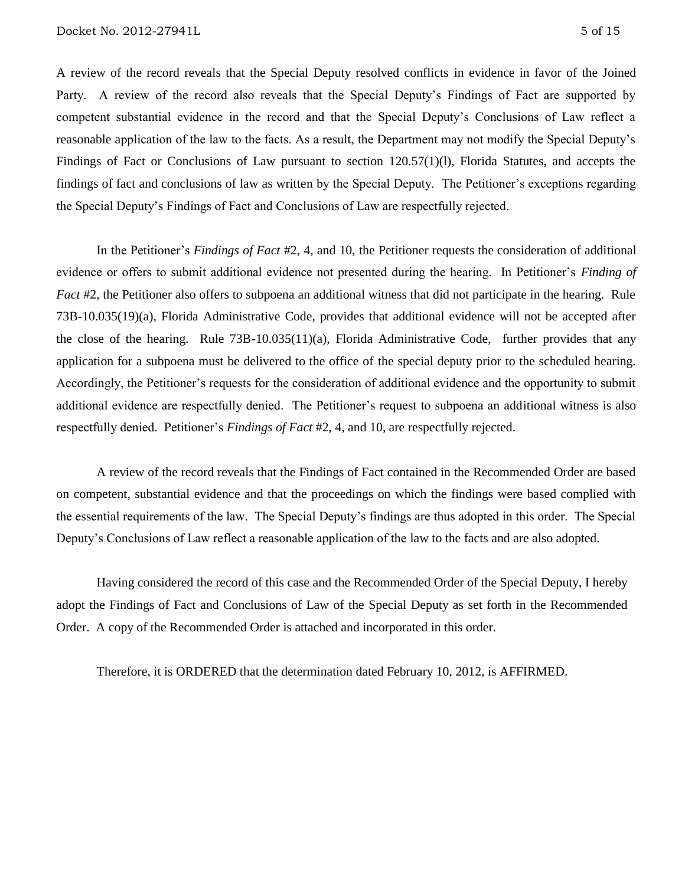A review of the record reveals that the Special Deputy resolved conflicts in evidence in favor of the Joined Party. A review of the record also reveals that the Special Deputy's Findings of Fact are supported by competent substantial evidence in the record and that the Special Deputy's Conclusions of Law reflect a reasonable application of the law to the facts. As a result, the Department may not modify the Special Deputy's Findings of Fact or Conclusions of Law pursuant to section 120.57(1)(l), Florida Statutes, and accepts the findings of fact and conclusions of law as written by the Special Deputy. The Petitioner's exceptions regarding the Special Deputy's Findings of Fact and Conclusions of Law are respectfully rejected.

In the Petitioner's *Findings of Fact* #2, 4, and 10, the Petitioner requests the consideration of additional evidence or offers to submit additional evidence not presented during the hearing. In Petitioner's *Finding of Fact* #2, the Petitioner also offers to subpoena an additional witness that did not participate in the hearing. Rule 73B-10.035(19)(a), Florida Administrative Code, provides that additional evidence will not be accepted after the close of the hearing. Rule 73B-10.035(11)(a), Florida Administrative Code, further provides that any application for a subpoena must be delivered to the office of the special deputy prior to the scheduled hearing. Accordingly, the Petitioner's requests for the consideration of additional evidence and the opportunity to submit additional evidence are respectfully denied. The Petitioner's request to subpoena an additional witness is also respectfully denied. Petitioner's *Findings of Fact* #2, 4, and 10, are respectfully rejected.

A review of the record reveals that the Findings of Fact contained in the Recommended Order are based on competent, substantial evidence and that the proceedings on which the findings were based complied with the essential requirements of the law. The Special Deputy's findings are thus adopted in this order. The Special Deputy's Conclusions of Law reflect a reasonable application of the law to the facts and are also adopted.

Having considered the record of this case and the Recommended Order of the Special Deputy, I hereby adopt the Findings of Fact and Conclusions of Law of the Special Deputy as set forth in the Recommended Order. A copy of the Recommended Order is attached and incorporated in this order.

Therefore, it is ORDERED that the determination dated February 10, 2012, is AFFIRMED.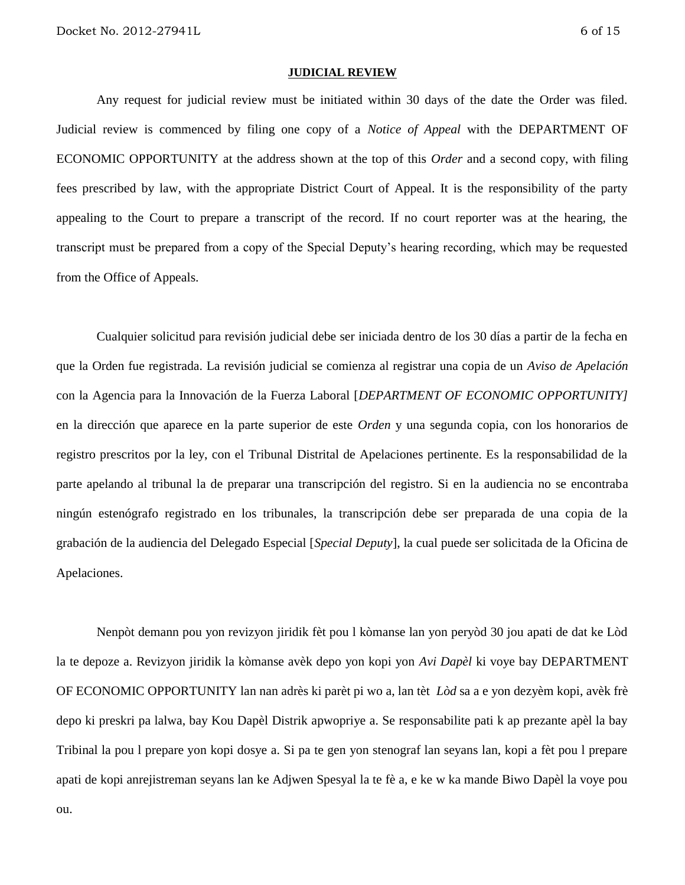ou.

#### **JUDICIAL REVIEW**

Any request for judicial review must be initiated within 30 days of the date the Order was filed. Judicial review is commenced by filing one copy of a *Notice of Appeal* with the DEPARTMENT OF ECONOMIC OPPORTUNITY at the address shown at the top of this *Order* and a second copy, with filing fees prescribed by law, with the appropriate District Court of Appeal. It is the responsibility of the party appealing to the Court to prepare a transcript of the record. If no court reporter was at the hearing, the transcript must be prepared from a copy of the Special Deputy's hearing recording, which may be requested from the Office of Appeals.

Cualquier solicitud para revisión judicial debe ser iniciada dentro de los 30 días a partir de la fecha en que la Orden fue registrada. La revisión judicial se comienza al registrar una copia de un *Aviso de Apelación* con la Agencia para la Innovación de la Fuerza Laboral [*DEPARTMENT OF ECONOMIC OPPORTUNITY]* en la dirección que aparece en la parte superior de este *Orden* y una segunda copia, con los honorarios de registro prescritos por la ley, con el Tribunal Distrital de Apelaciones pertinente. Es la responsabilidad de la parte apelando al tribunal la de preparar una transcripción del registro. Si en la audiencia no se encontraba ningún estenógrafo registrado en los tribunales, la transcripción debe ser preparada de una copia de la grabación de la audiencia del Delegado Especial [*Special Deputy*], la cual puede ser solicitada de la Oficina de Apelaciones.

Nenpòt demann pou yon revizyon jiridik fèt pou l kòmanse lan yon peryòd 30 jou apati de dat ke Lòd la te depoze a. Revizyon jiridik la kòmanse avèk depo yon kopi yon *Avi Dapèl* ki voye bay DEPARTMENT OF ECONOMIC OPPORTUNITY lan nan adrès ki parèt pi wo a, lan tèt *Lòd* sa a e yon dezyèm kopi, avèk frè depo ki preskri pa lalwa, bay Kou Dapèl Distrik apwopriye a. Se responsabilite pati k ap prezante apèl la bay Tribinal la pou l prepare yon kopi dosye a. Si pa te gen yon stenograf lan seyans lan, kopi a fèt pou l prepare apati de kopi anrejistreman seyans lan ke Adjwen Spesyal la te fè a, e ke w ka mande Biwo Dapèl la voye pou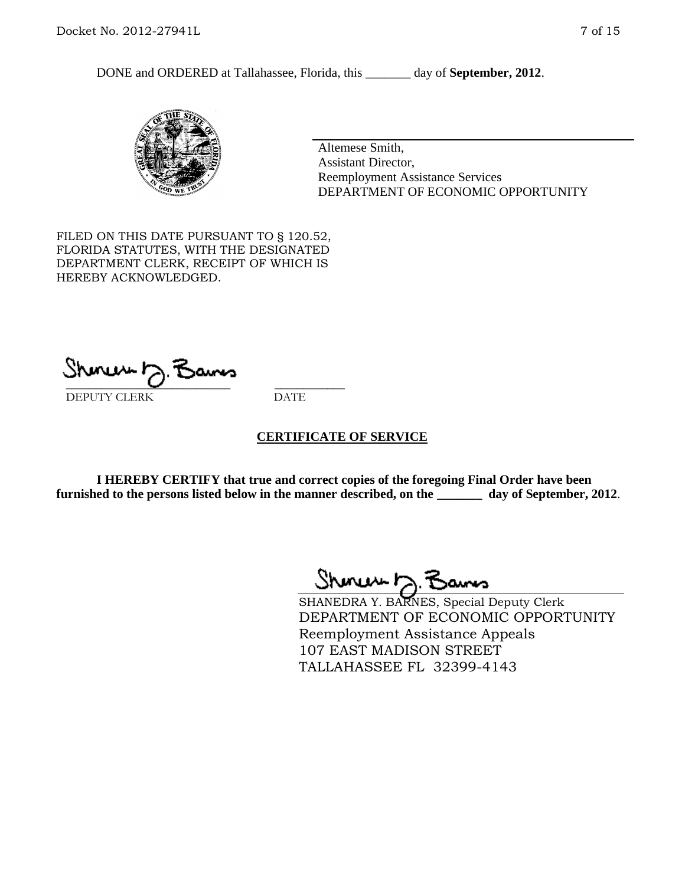DONE and ORDERED at Tallahassee, Florida, this \_\_\_\_\_\_\_ day of **September, 2012**.



Altemese Smith, Assistant Director, Reemployment Assistance Services DEPARTMENT OF ECONOMIC OPPORTUNITY

FILED ON THIS DATE PURSUANT TO § 120.52, FLORIDA STATUTES, WITH THE DESIGNATED DEPARTMENT CLERK, RECEIPT OF WHICH IS HEREBY ACKNOWLEDGED.

Shmun J. Bams

DEPUTY CLERK DATE

#### **CERTIFICATE OF SERVICE**

**I HEREBY CERTIFY that true and correct copies of the foregoing Final Order have been furnished to the persons listed below in the manner described, on the \_\_\_\_\_\_\_ day of September, 2012**.

 $Shmum \sim 7$ 

SHANEDRA Y. BARNES, Special Deputy Clerk DEPARTMENT OF ECONOMIC OPPORTUNITY Reemployment Assistance Appeals 107 EAST MADISON STREET TALLAHASSEE FL 32399-4143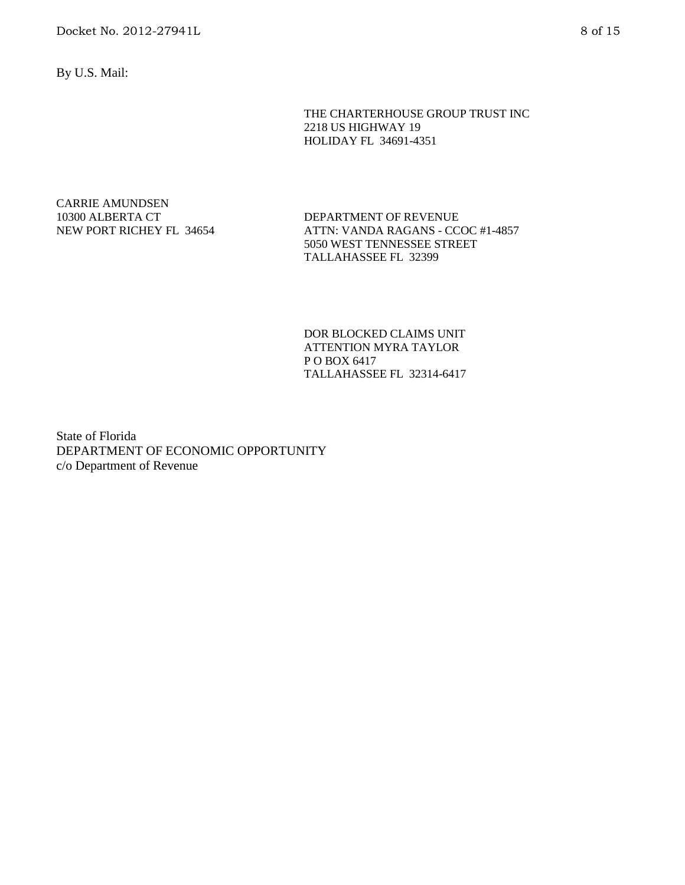By U.S. Mail:

THE CHARTERHOUSE GROUP TRUST INC 2218 US HIGHWAY 19 HOLIDAY FL 34691-4351

CARRIE AMUNDSEN 10300 ALBERTA CT NEW PORT RICHEY FL 34654

DEPARTMENT OF REVENUE ATTN: VANDA RAGANS - CCOC #1-4857 5050 WEST TENNESSEE STREET TALLAHASSEE FL 32399

DOR BLOCKED CLAIMS UNIT ATTENTION MYRA TAYLOR P O BOX 6417 TALLAHASSEE FL 32314-6417

State of Florida DEPARTMENT OF ECONOMIC OPPORTUNITY c/o Department of Revenue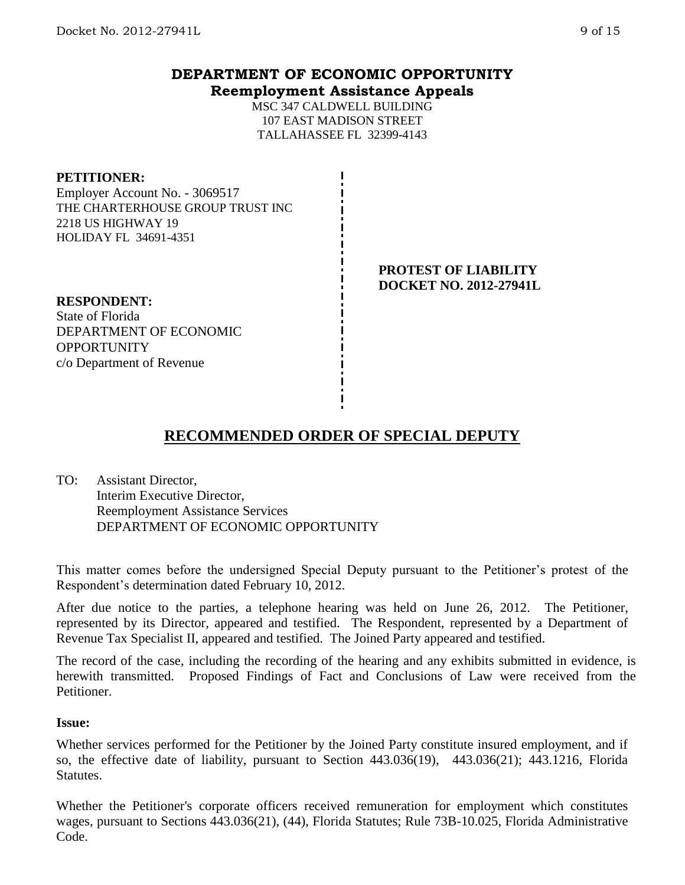**Reemployment Assistance Appeals**

MSC 347 CALDWELL BUILDING 107 EAST MADISON STREET TALLAHASSEE FL 32399-4143

#### **PETITIONER:**

Employer Account No. - 3069517 THE CHARTERHOUSE GROUP TRUST INC 2218 US HIGHWAY 19 HOLIDAY FL 34691-4351

## **RESPONDENT:**

State of Florida DEPARTMENT OF ECONOMIC **OPPORTUNITY** c/o Department of Revenue

**PROTEST OF LIABILITY DOCKET NO. 2012-27941L**

# **RECOMMENDED ORDER OF SPECIAL DEPUTY**

TO: Assistant Director, Interim Executive Director, Reemployment Assistance Services DEPARTMENT OF ECONOMIC OPPORTUNITY

This matter comes before the undersigned Special Deputy pursuant to the Petitioner's protest of the Respondent's determination dated February 10, 2012.

After due notice to the parties, a telephone hearing was held on June 26, 2012. The Petitioner, represented by its Director, appeared and testified. The Respondent, represented by a Department of Revenue Tax Specialist II, appeared and testified. The Joined Party appeared and testified.

The record of the case, including the recording of the hearing and any exhibits submitted in evidence, is herewith transmitted. Proposed Findings of Fact and Conclusions of Law were received from the Petitioner.

#### **Issue:**

Whether services performed for the Petitioner by the Joined Party constitute insured employment, and if so, the effective date of liability, pursuant to Section 443.036(19), 443.036(21); 443.1216, Florida Statutes.

Whether the Petitioner's corporate officers received remuneration for employment which constitutes wages, pursuant to Sections 443.036(21), (44), Florida Statutes; Rule 73B-10.025, Florida Administrative Code.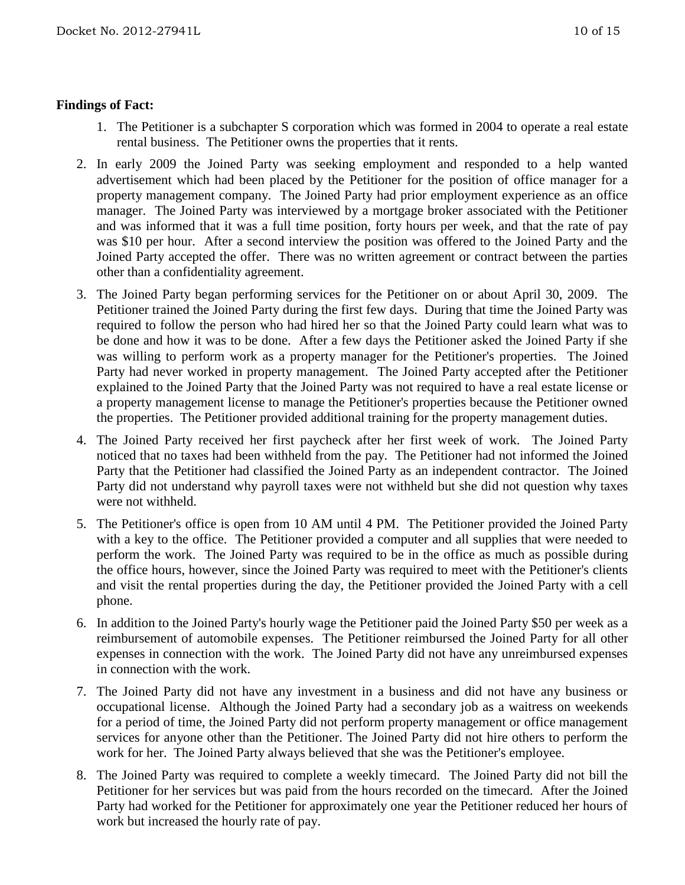### **Findings of Fact:**

- 1. The Petitioner is a subchapter S corporation which was formed in 2004 to operate a real estate rental business. The Petitioner owns the properties that it rents.
- 2. In early 2009 the Joined Party was seeking employment and responded to a help wanted advertisement which had been placed by the Petitioner for the position of office manager for a property management company. The Joined Party had prior employment experience as an office manager. The Joined Party was interviewed by a mortgage broker associated with the Petitioner and was informed that it was a full time position, forty hours per week, and that the rate of pay was \$10 per hour. After a second interview the position was offered to the Joined Party and the Joined Party accepted the offer. There was no written agreement or contract between the parties other than a confidentiality agreement.
- 3. The Joined Party began performing services for the Petitioner on or about April 30, 2009. The Petitioner trained the Joined Party during the first few days. During that time the Joined Party was required to follow the person who had hired her so that the Joined Party could learn what was to be done and how it was to be done. After a few days the Petitioner asked the Joined Party if she was willing to perform work as a property manager for the Petitioner's properties. The Joined Party had never worked in property management. The Joined Party accepted after the Petitioner explained to the Joined Party that the Joined Party was not required to have a real estate license or a property management license to manage the Petitioner's properties because the Petitioner owned the properties. The Petitioner provided additional training for the property management duties.
- 4. The Joined Party received her first paycheck after her first week of work. The Joined Party noticed that no taxes had been withheld from the pay. The Petitioner had not informed the Joined Party that the Petitioner had classified the Joined Party as an independent contractor. The Joined Party did not understand why payroll taxes were not withheld but she did not question why taxes were not withheld.
- 5. The Petitioner's office is open from 10 AM until 4 PM. The Petitioner provided the Joined Party with a key to the office. The Petitioner provided a computer and all supplies that were needed to perform the work. The Joined Party was required to be in the office as much as possible during the office hours, however, since the Joined Party was required to meet with the Petitioner's clients and visit the rental properties during the day, the Petitioner provided the Joined Party with a cell phone.
- 6. In addition to the Joined Party's hourly wage the Petitioner paid the Joined Party \$50 per week as a reimbursement of automobile expenses. The Petitioner reimbursed the Joined Party for all other expenses in connection with the work. The Joined Party did not have any unreimbursed expenses in connection with the work.
- 7. The Joined Party did not have any investment in a business and did not have any business or occupational license. Although the Joined Party had a secondary job as a waitress on weekends for a period of time, the Joined Party did not perform property management or office management services for anyone other than the Petitioner. The Joined Party did not hire others to perform the work for her. The Joined Party always believed that she was the Petitioner's employee.
- 8. The Joined Party was required to complete a weekly timecard. The Joined Party did not bill the Petitioner for her services but was paid from the hours recorded on the timecard. After the Joined Party had worked for the Petitioner for approximately one year the Petitioner reduced her hours of work but increased the hourly rate of pay.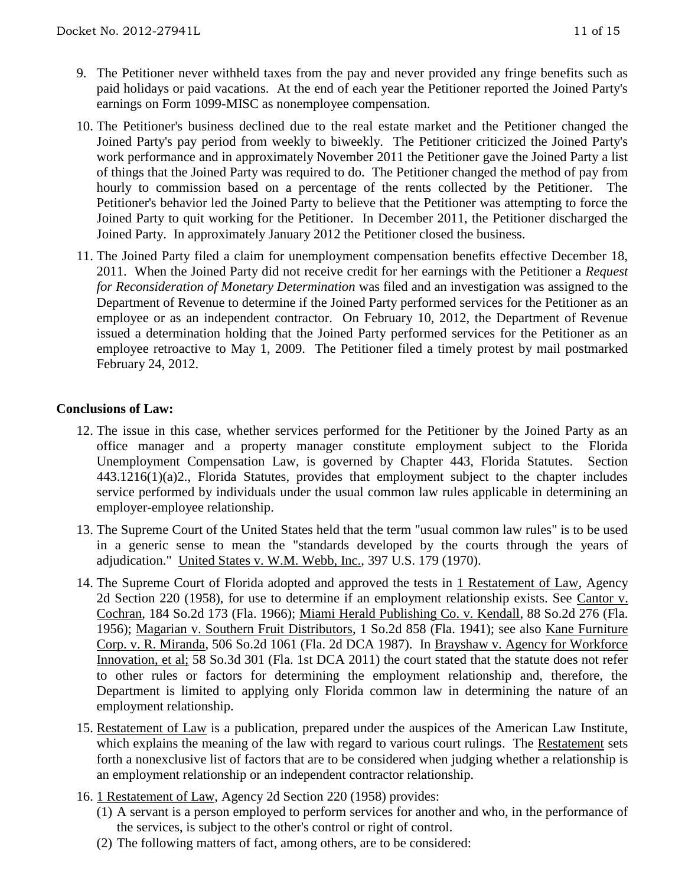- 9. The Petitioner never withheld taxes from the pay and never provided any fringe benefits such as paid holidays or paid vacations. At the end of each year the Petitioner reported the Joined Party's earnings on Form 1099-MISC as nonemployee compensation.
- 10. The Petitioner's business declined due to the real estate market and the Petitioner changed the Joined Party's pay period from weekly to biweekly. The Petitioner criticized the Joined Party's work performance and in approximately November 2011 the Petitioner gave the Joined Party a list of things that the Joined Party was required to do. The Petitioner changed the method of pay from hourly to commission based on a percentage of the rents collected by the Petitioner. The Petitioner's behavior led the Joined Party to believe that the Petitioner was attempting to force the Joined Party to quit working for the Petitioner. In December 2011, the Petitioner discharged the Joined Party. In approximately January 2012 the Petitioner closed the business.
- 11. The Joined Party filed a claim for unemployment compensation benefits effective December 18, 2011. When the Joined Party did not receive credit for her earnings with the Petitioner a *Request for Reconsideration of Monetary Determination* was filed and an investigation was assigned to the Department of Revenue to determine if the Joined Party performed services for the Petitioner as an employee or as an independent contractor. On February 10, 2012, the Department of Revenue issued a determination holding that the Joined Party performed services for the Petitioner as an employee retroactive to May 1, 2009. The Petitioner filed a timely protest by mail postmarked February 24, 2012.

### **Conclusions of Law:**

- 12. The issue in this case, whether services performed for the Petitioner by the Joined Party as an office manager and a property manager constitute employment subject to the Florida Unemployment Compensation Law, is governed by Chapter 443, Florida Statutes. Section 443.1216(1)(a)2., Florida Statutes, provides that employment subject to the chapter includes service performed by individuals under the usual common law rules applicable in determining an employer-employee relationship.
- 13. The Supreme Court of the United States held that the term "usual common law rules" is to be used in a generic sense to mean the "standards developed by the courts through the years of adjudication." United States v. W.M. Webb, Inc., 397 U.S. 179 (1970).
- 14. The Supreme Court of Florida adopted and approved the tests in 1 Restatement of Law, Agency 2d Section 220 (1958), for use to determine if an employment relationship exists. See Cantor v. Cochran, 184 So.2d 173 (Fla. 1966); Miami Herald Publishing Co. v. Kendall, 88 So.2d 276 (Fla. 1956); Magarian v. Southern Fruit Distributors, 1 So.2d 858 (Fla. 1941); see also Kane Furniture Corp. v. R. Miranda, 506 So.2d 1061 (Fla. 2d DCA 1987). In Brayshaw v. Agency for Workforce Innovation, et al; 58 So.3d 301 (Fla. 1st DCA 2011) the court stated that the statute does not refer to other rules or factors for determining the employment relationship and, therefore, the Department is limited to applying only Florida common law in determining the nature of an employment relationship.
- 15. Restatement of Law is a publication, prepared under the auspices of the American Law Institute, which explains the meaning of the law with regard to various court rulings. The Restatement sets forth a nonexclusive list of factors that are to be considered when judging whether a relationship is an employment relationship or an independent contractor relationship.
- 16. 1 Restatement of Law, Agency 2d Section 220 (1958) provides:
	- (1) A servant is a person employed to perform services for another and who, in the performance of the services, is subject to the other's control or right of control.
	- (2) The following matters of fact, among others, are to be considered: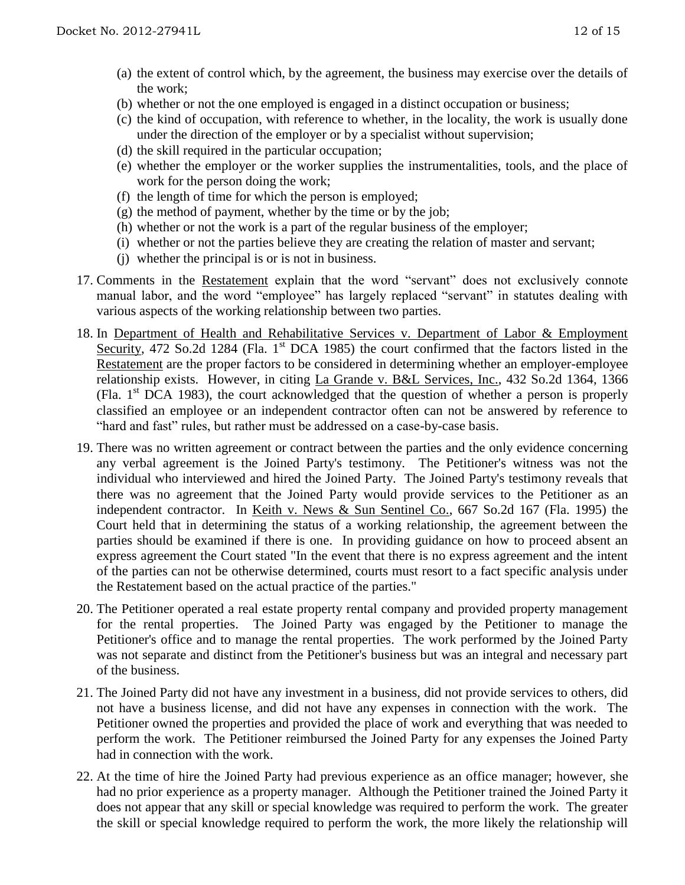- (a) the extent of control which, by the agreement, the business may exercise over the details of the work;
- (b) whether or not the one employed is engaged in a distinct occupation or business;
- (c) the kind of occupation, with reference to whether, in the locality, the work is usually done under the direction of the employer or by a specialist without supervision;
- (d) the skill required in the particular occupation;
- (e) whether the employer or the worker supplies the instrumentalities, tools, and the place of work for the person doing the work;
- (f) the length of time for which the person is employed;
- (g) the method of payment, whether by the time or by the job;
- (h) whether or not the work is a part of the regular business of the employer;
- (i) whether or not the parties believe they are creating the relation of master and servant;
- (j) whether the principal is or is not in business.
- 17. Comments in the Restatement explain that the word "servant" does not exclusively connote manual labor, and the word "employee" has largely replaced "servant" in statutes dealing with various aspects of the working relationship between two parties.
- 18. In Department of Health and Rehabilitative Services v. Department of Labor & Employment Security, 472 So.2d 1284 (Fla. 1<sup>st</sup> DCA 1985) the court confirmed that the factors listed in the Restatement are the proper factors to be considered in determining whether an employer-employee relationship exists. However, in citing La Grande v. B&L Services, Inc., 432 So.2d 1364, 1366 (Fla.  $1<sup>st</sup>$  DCA 1983), the court acknowledged that the question of whether a person is properly classified an employee or an independent contractor often can not be answered by reference to "hard and fast" rules, but rather must be addressed on a case-by-case basis.
- 19. There was no written agreement or contract between the parties and the only evidence concerning any verbal agreement is the Joined Party's testimony. The Petitioner's witness was not the individual who interviewed and hired the Joined Party. The Joined Party's testimony reveals that there was no agreement that the Joined Party would provide services to the Petitioner as an independent contractor. In <u>Keith v. News & Sun Sentinel Co.,</u> 667 So.2d 167 (Fla. 1995) the Court held that in determining the status of a working relationship, the agreement between the parties should be examined if there is one. In providing guidance on how to proceed absent an express agreement the Court stated "In the event that there is no express agreement and the intent of the parties can not be otherwise determined, courts must resort to a fact specific analysis under the Restatement based on the actual practice of the parties."
- 20. The Petitioner operated a real estate property rental company and provided property management for the rental properties. The Joined Party was engaged by the Petitioner to manage the Petitioner's office and to manage the rental properties. The work performed by the Joined Party was not separate and distinct from the Petitioner's business but was an integral and necessary part of the business.
- 21. The Joined Party did not have any investment in a business, did not provide services to others, did not have a business license, and did not have any expenses in connection with the work. The Petitioner owned the properties and provided the place of work and everything that was needed to perform the work. The Petitioner reimbursed the Joined Party for any expenses the Joined Party had in connection with the work.
- 22. At the time of hire the Joined Party had previous experience as an office manager; however, she had no prior experience as a property manager. Although the Petitioner trained the Joined Party it does not appear that any skill or special knowledge was required to perform the work. The greater the skill or special knowledge required to perform the work, the more likely the relationship will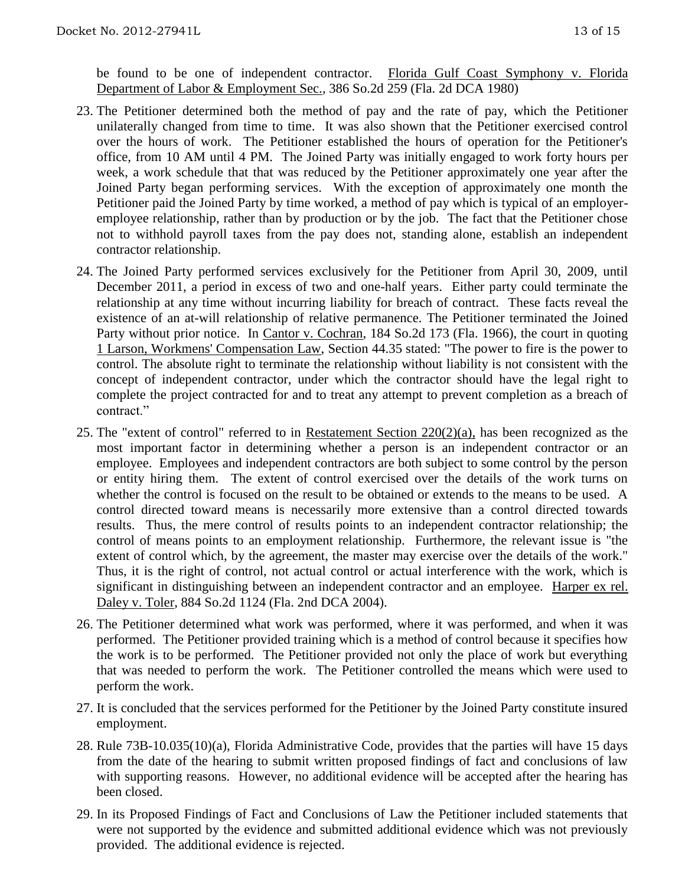be found to be one of independent contractor. Florida Gulf Coast Symphony v. Florida Department of Labor & Employment Sec., 386 So.2d 259 (Fla. 2d DCA 1980)

- 23. The Petitioner determined both the method of pay and the rate of pay, which the Petitioner unilaterally changed from time to time. It was also shown that the Petitioner exercised control over the hours of work. The Petitioner established the hours of operation for the Petitioner's office, from 10 AM until 4 PM. The Joined Party was initially engaged to work forty hours per week, a work schedule that that was reduced by the Petitioner approximately one year after the Joined Party began performing services. With the exception of approximately one month the Petitioner paid the Joined Party by time worked, a method of pay which is typical of an employeremployee relationship, rather than by production or by the job. The fact that the Petitioner chose not to withhold payroll taxes from the pay does not, standing alone, establish an independent contractor relationship.
- 24. The Joined Party performed services exclusively for the Petitioner from April 30, 2009, until December 2011, a period in excess of two and one-half years. Either party could terminate the relationship at any time without incurring liability for breach of contract. These facts reveal the existence of an at-will relationship of relative permanence. The Petitioner terminated the Joined Party without prior notice. In Cantor v. Cochran, 184 So.2d 173 (Fla. 1966), the court in quoting 1 Larson, Workmens' Compensation Law, Section 44.35 stated: "The power to fire is the power to control. The absolute right to terminate the relationship without liability is not consistent with the concept of independent contractor, under which the contractor should have the legal right to complete the project contracted for and to treat any attempt to prevent completion as a breach of contract."
- 25. The "extent of control" referred to in Restatement Section 220(2)(a), has been recognized as the most important factor in determining whether a person is an independent contractor or an employee. Employees and independent contractors are both subject to some control by the person or entity hiring them. The extent of control exercised over the details of the work turns on whether the control is focused on the result to be obtained or extends to the means to be used. A control directed toward means is necessarily more extensive than a control directed towards results. Thus, the mere control of results points to an independent contractor relationship; the control of means points to an employment relationship. Furthermore, the relevant issue is "the extent of control which, by the agreement, the master may exercise over the details of the work." Thus, it is the right of control, not actual control or actual interference with the work, which is significant in distinguishing between an independent contractor and an employee. Harper ex rel. Daley v. Toler, 884 So.2d 1124 (Fla. 2nd DCA 2004).
- 26. The Petitioner determined what work was performed, where it was performed, and when it was performed. The Petitioner provided training which is a method of control because it specifies how the work is to be performed. The Petitioner provided not only the place of work but everything that was needed to perform the work. The Petitioner controlled the means which were used to perform the work.
- 27. It is concluded that the services performed for the Petitioner by the Joined Party constitute insured employment.
- 28. Rule 73B-10.035(10)(a), Florida Administrative Code, provides that the parties will have 15 days from the date of the hearing to submit written proposed findings of fact and conclusions of law with supporting reasons. However, no additional evidence will be accepted after the hearing has been closed.
- 29. In its Proposed Findings of Fact and Conclusions of Law the Petitioner included statements that were not supported by the evidence and submitted additional evidence which was not previously provided. The additional evidence is rejected.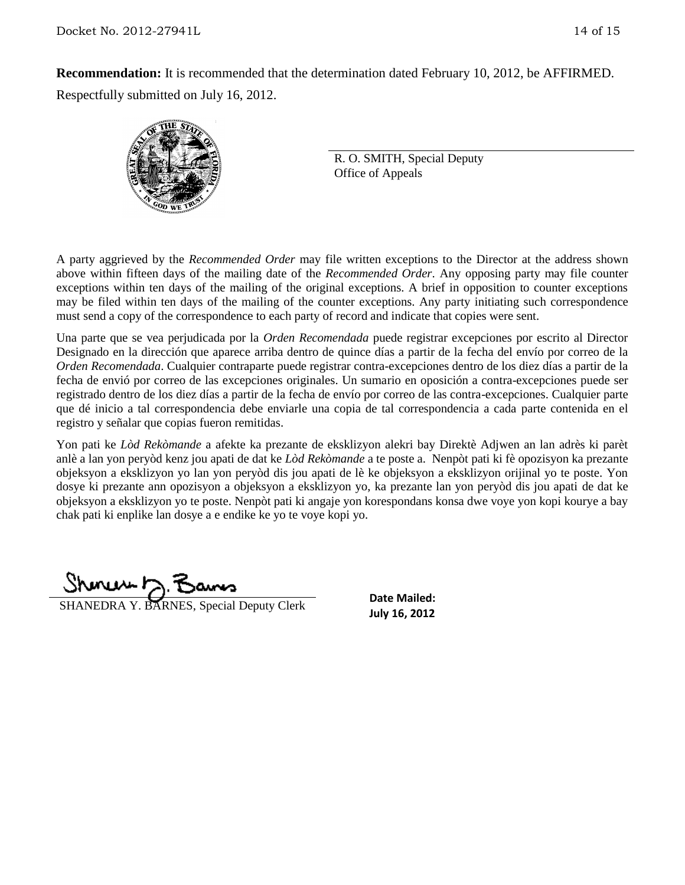**Recommendation:** It is recommended that the determination dated February 10, 2012, be AFFIRMED. Respectfully submitted on July 16, 2012.



R. O. SMITH, Special Deputy Office of Appeals

A party aggrieved by the *Recommended Order* may file written exceptions to the Director at the address shown above within fifteen days of the mailing date of the *Recommended Order*. Any opposing party may file counter exceptions within ten days of the mailing of the original exceptions. A brief in opposition to counter exceptions may be filed within ten days of the mailing of the counter exceptions. Any party initiating such correspondence must send a copy of the correspondence to each party of record and indicate that copies were sent.

Una parte que se vea perjudicada por la *Orden Recomendada* puede registrar excepciones por escrito al Director Designado en la dirección que aparece arriba dentro de quince días a partir de la fecha del envío por correo de la *Orden Recomendada*. Cualquier contraparte puede registrar contra-excepciones dentro de los diez días a partir de la fecha de envió por correo de las excepciones originales. Un sumario en oposición a contra-excepciones puede ser registrado dentro de los diez días a partir de la fecha de envío por correo de las contra-excepciones. Cualquier parte que dé inicio a tal correspondencia debe enviarle una copia de tal correspondencia a cada parte contenida en el registro y señalar que copias fueron remitidas.

Yon pati ke *Lòd Rekòmande* a afekte ka prezante de eksklizyon alekri bay Direktè Adjwen an lan adrès ki parèt anlè a lan yon peryòd kenz jou apati de dat ke *Lòd Rekòmande* a te poste a. Nenpòt pati ki fè opozisyon ka prezante objeksyon a eksklizyon yo lan yon peryòd dis jou apati de lè ke objeksyon a eksklizyon orijinal yo te poste. Yon dosye ki prezante ann opozisyon a objeksyon a eksklizyon yo, ka prezante lan yon peryòd dis jou apati de dat ke objeksyon a eksklizyon yo te poste. Nenpòt pati ki angaje yon korespondans konsa dwe voye yon kopi kourye a bay chak pati ki enplike lan dosye a e endike ke yo te voye kopi yo.

 $Shmawr \geq 7$ 

**July 16, 2012** SHANEDRA Y. BARNES, Special Deputy Clerk<br>July 16, 2012

**Date Mailed:**